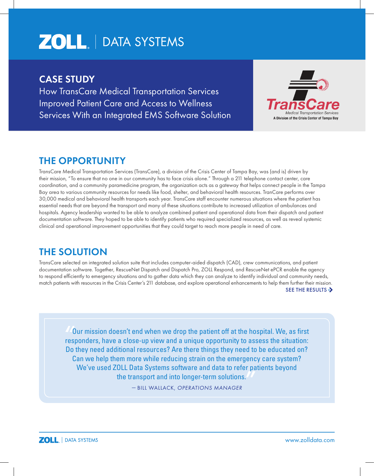# **ZOLL** | DATA SYSTEMS

## CASE STUDY

How TransCare Medical Transportation Services Improved Patient Care and Access to Wellness Services With an Integrated EMS Software Solution



# THE OPPORTUNITY

TransCare Medical Transportation Services (TransCare), a division of the Crisis Center of Tampa Bay, was (and is) driven by their mission, "To ensure that no one in our community has to face crisis alone." Through a 211 telephone contact center, care coordination, and a community paramedicine program, the organization acts as a gateway that helps connect people in the Tampa Bay area to various community resources for needs like food, shelter, and behavioral health resources. TranCare performs over 30,000 medical and behavioral health transports each year. TransCare staff encounter numerous situations where the patient has essential needs that are beyond the transport and many of these situations contribute to increased utilization of ambulances and hospitals. Agency leadership wanted to be able to analyze combined patient and operational data from their dispatch and patient documentation software. They hoped to be able to identify patients who required specialized resources, as well as reveal systemic clinical and operational improvement opportunities that they could target to reach more people in need of care.

# THE SOLUTION

TransCare selected an integrated solution suite that includes computer-aided dispatch (CAD), crew communications, and patient documentation software. Together, RescueNet Dispatch and Dispatch Pro, ZOLL Respond, and RescueNet ePCR enable the agency to respond efficiently to emergency situations and to gather data which they can analyze to identify individual and community needs, match patients with resources in the Crisis Center's 211 database, and explore operational enhancements to help them further their mission. SEE THE RESULTS  $\triangleright$ 

Our mission doesn't end when we drop the patient off at the hospital. We, as first responders, have a close-up view and a unique opportunity to assess the situation: Do they need additional resources? Are there things they need to be educated on? Can we help them more while reducing strain on the emergency care system? We've used ZOLL Data Systems software and data to refer patients beyond the transport and into longer-term solutions. "<br>"<br>"

— BILL WALLACK, *OPERATIONS MANAGER*